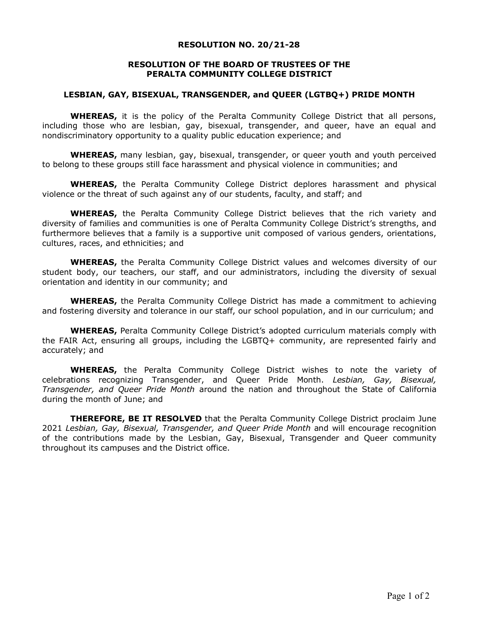## **RESOLUTION NO. 20/21-28**

## **RESOLUTION OF THE BOARD OF TRUSTEES OF THE PERALTA COMMUNITY COLLEGE DISTRICT**

## **LESBIAN, GAY, BISEXUAL, TRANSGENDER, and QUEER (LGTBQ+) PRIDE MONTH**

WHEREAS, it is the policy of the Peralta Community College District that all persons, including those who are lesbian, gay, bisexual, transgender, and queer, have an equal and nondiscriminatory opportunity to a quality public education experience; and

**WHEREAS,** many lesbian, gay, bisexual, transgender, or queer youth and youth perceived to belong to these groups still face harassment and physical violence in communities; and

**WHEREAS,** the Peralta Community College District deplores harassment and physical violence or the threat of such against any of our students, faculty, and staff; and

**WHEREAS,** the Peralta Community College District believes that the rich variety and diversity of families and communities is one of Peralta Community College District's strengths, and furthermore believes that a family is a supportive unit composed of various genders, orientations, cultures, races, and ethnicities; and

**WHEREAS,** the Peralta Community College District values and welcomes diversity of our student body, our teachers, our staff, and our administrators, including the diversity of sexual orientation and identity in our community; and

**WHEREAS,** the Peralta Community College District has made a commitment to achieving and fostering diversity and tolerance in our staff, our school population, and in our curriculum; and

**WHEREAS,** Peralta Community College District's adopted curriculum materials comply with the FAIR Act, ensuring all groups, including the LGBTQ+ community, are represented fairly and accurately; and

**WHEREAS,** the Peralta Community College District wishes to note the variety of celebrations recognizing Transgender, and Queer Pride Month. *Lesbian, Gay, Bisexual, Transgender, and Queer Pride Month* around the nation and throughout the State of California during the month of June; and

**THEREFORE, BE IT RESOLVED** that the Peralta Community College District proclaim June 2021 *Lesbian, Gay, Bisexual, Transgender, and Queer Pride Month* and will encourage recognition of the contributions made by the Lesbian, Gay, Bisexual, Transgender and Queer community throughout its campuses and the District office.